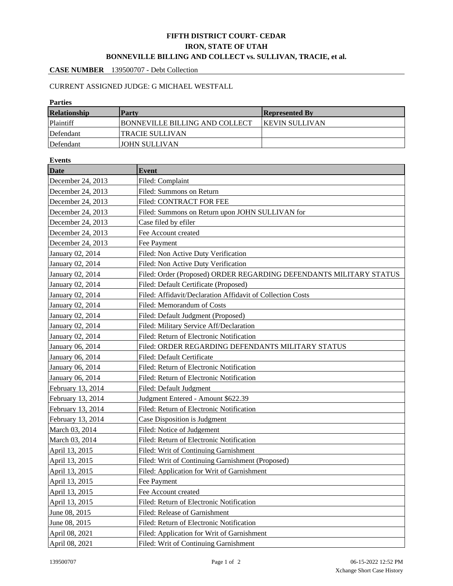# **FIFTH DISTRICT COURT- CEDAR IRON, STATE OF UTAH BONNEVILLE BILLING AND COLLECT vs. SULLIVAN, TRACIE, et al.**

### **CASE NUMBER** 139500707 - Debt Collection

# CURRENT ASSIGNED JUDGE: G MICHAEL WESTFALL

#### **Parties**

| <b>Relationship</b> | <b>Party</b>                          | <b>Represented By</b>  |
|---------------------|---------------------------------------|------------------------|
| Plaintiff           | <b>BONNEVILLE BILLING AND COLLECT</b> | <b>IKEVIN SULLIVAN</b> |
| Defendant           | TRACIE SULLIVAN                       |                        |
| Defendant           | <b>JOHN SULLIVAN</b>                  |                        |

| <b>Events</b>     |                                                                    |  |  |  |
|-------------------|--------------------------------------------------------------------|--|--|--|
| <b>Date</b>       | <b>Event</b>                                                       |  |  |  |
| December 24, 2013 | Filed: Complaint                                                   |  |  |  |
| December 24, 2013 | Filed: Summons on Return                                           |  |  |  |
| December 24, 2013 | Filed: CONTRACT FOR FEE                                            |  |  |  |
| December 24, 2013 | Filed: Summons on Return upon JOHN SULLIVAN for                    |  |  |  |
| December 24, 2013 | Case filed by efiler                                               |  |  |  |
| December 24, 2013 | Fee Account created                                                |  |  |  |
| December 24, 2013 | Fee Payment                                                        |  |  |  |
| January 02, 2014  | Filed: Non Active Duty Verification                                |  |  |  |
| January 02, 2014  | Filed: Non Active Duty Verification                                |  |  |  |
| January 02, 2014  | Filed: Order (Proposed) ORDER REGARDING DEFENDANTS MILITARY STATUS |  |  |  |
| January 02, 2014  | Filed: Default Certificate (Proposed)                              |  |  |  |
| January 02, 2014  | Filed: Affidavit/Declaration Affidavit of Collection Costs         |  |  |  |
| January 02, 2014  | Filed: Memorandum of Costs                                         |  |  |  |
| January 02, 2014  | Filed: Default Judgment (Proposed)                                 |  |  |  |
| January 02, 2014  | Filed: Military Service Aff/Declaration                            |  |  |  |
| January 02, 2014  | Filed: Return of Electronic Notification                           |  |  |  |
| January 06, 2014  | Filed: ORDER REGARDING DEFENDANTS MILITARY STATUS                  |  |  |  |
| January 06, 2014  | Filed: Default Certificate                                         |  |  |  |
| January 06, 2014  | Filed: Return of Electronic Notification                           |  |  |  |
| January 06, 2014  | Filed: Return of Electronic Notification                           |  |  |  |
| February 13, 2014 | Filed: Default Judgment                                            |  |  |  |
| February 13, 2014 | Judgment Entered - Amount \$622.39                                 |  |  |  |
| February 13, 2014 | Filed: Return of Electronic Notification                           |  |  |  |
| February 13, 2014 | Case Disposition is Judgment                                       |  |  |  |
| March 03, 2014    | Filed: Notice of Judgement                                         |  |  |  |
| March 03, 2014    | Filed: Return of Electronic Notification                           |  |  |  |
| April 13, 2015    | Filed: Writ of Continuing Garnishment                              |  |  |  |
| April 13, 2015    | Filed: Writ of Continuing Garnishment (Proposed)                   |  |  |  |
| April 13, 2015    | Filed: Application for Writ of Garnishment                         |  |  |  |
| April 13, 2015    | Fee Payment                                                        |  |  |  |
| April 13, 2015    | Fee Account created                                                |  |  |  |
| April 13, 2015    | Filed: Return of Electronic Notification                           |  |  |  |
| June 08, 2015     | Filed: Release of Garnishment                                      |  |  |  |
| June 08, 2015     | Filed: Return of Electronic Notification                           |  |  |  |
| April 08, 2021    | Filed: Application for Writ of Garnishment                         |  |  |  |
| April 08, 2021    | Filed: Writ of Continuing Garnishment                              |  |  |  |